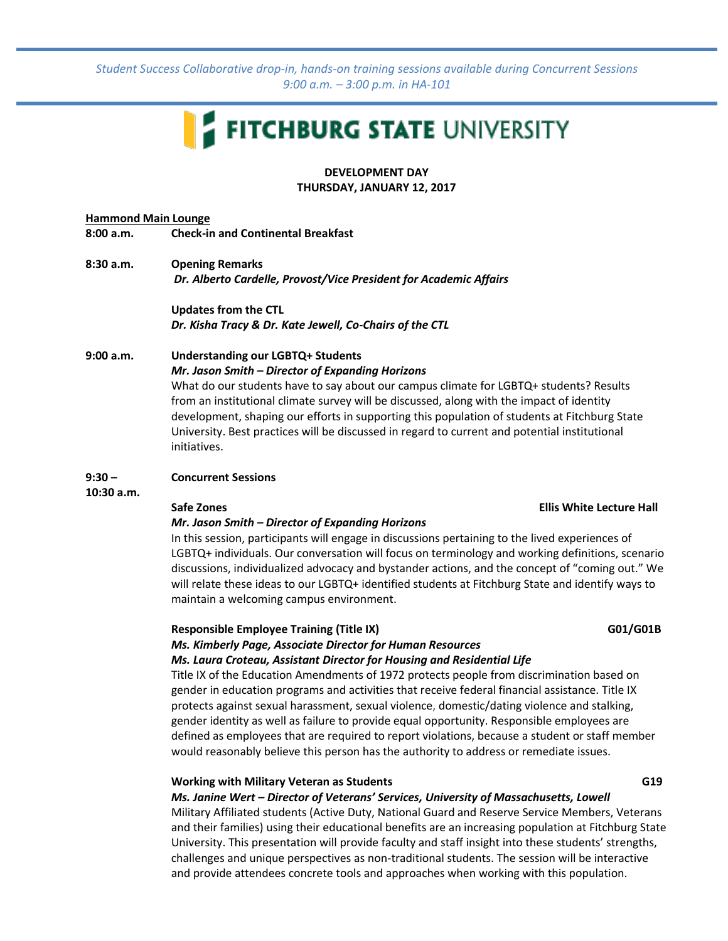*Student Success Collaborative drop-in, hands-on training sessions available during Concurrent Sessions 9:00 a.m. – 3:00 p.m. in HA-101*

# FITCHBURG STATE UNIVERSITY

**DEVELOPMENT DAY THURSDAY, JANUARY 12, 2017**

### **Hammond Main Lounge 8:00 a.m. Check-in and Continental Breakfast**

- **8:30 a.m. Opening Remarks**
	- *Dr. Alberto Cardelle, Provost/Vice President for Academic Affairs*

**Updates from the CTL** *Dr. Kisha Tracy & Dr. Kate Jewell, Co-Chairs of the CTL*

## **9:00 a.m. Understanding our LGBTQ+ Students**

*Mr. Jason Smith – Director of Expanding Horizons*

What do our students have to say about our campus climate for LGBTQ+ students? Results from an institutional climate survey will be discussed, along with the impact of identity development, shaping our efforts in supporting this population of students at Fitchburg State University. Best practices will be discussed in regard to current and potential institutional initiatives.

### **9:30 – Concurrent Sessions**

**10:30 a.m.**

### **Safe Zones Ellis White Lecture Hall**

### *Mr. Jason Smith – Director of Expanding Horizons*

In this session, participants will engage in discussions pertaining to the lived experiences of LGBTQ+ individuals. Our conversation will focus on terminology and working definitions, scenario discussions, individualized advocacy and bystander actions, and the concept of "coming out." We will relate these ideas to our LGBTQ+ identified students at Fitchburg State and identify ways to maintain a welcoming campus environment.

# **Responsible Employee Training (Title IX)** GD1/G01B

### *Ms. Kimberly Page, Associate Director for Human Resources Ms. Laura Croteau, Assistant Director for Housing and Residential Life*

Title IX of the Education Amendments of 1972 protects people from discrimination based on gender in education programs and activities that receive federal financial assistance. Title IX protects against sexual harassment, sexual violence, domestic/dating violence and stalking, gender identity as well as failure to provide equal opportunity. Responsible employees are defined as employees that are required to report violations, because a student or staff member would reasonably believe this person has the authority to address or remediate issues.

### **Working with Military Veteran as Students G19**

*Ms. Janine Wert – Director of Veterans' Services, University of Massachusetts, Lowell*

Military Affiliated students (Active Duty, National Guard and Reserve Service Members, Veterans and their families) using their educational benefits are an increasing population at Fitchburg State University. This presentation will provide faculty and staff insight into these students' strengths, challenges and unique perspectives as non-traditional students. The session will be interactive and provide attendees concrete tools and approaches when working with this population.